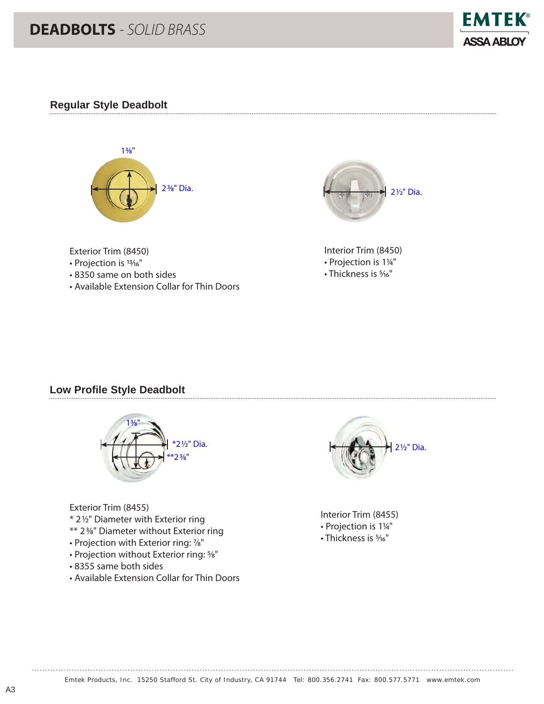# **DEADBOLTS** *- SOLID BRASS*



### **Regular Style Deadbolt**





Interior Trim (8450) • Projection is 11/4" • Thickness is 5/16"

#### Exterior Trim (8450)

- Projection is 13/16"
- 8350 same on both sides
- Available Extension Collar for Thin Doors

#### **Low Profile Style Deadbolt**



Exterior Trim (8455)

- \* 21⁄2" Diameter with Exterior ring
- \*\* 23⁄8" Diameter without Exterior ring
- Projection with Exterior ring: 7⁄8"
- Projection without Exterior ring: 5⁄8"
- 8355 same both sides
- Available Extension Collar for Thin Doors



Interior Trim (8455) • Projection is 11/4" • Thickness is 5/16"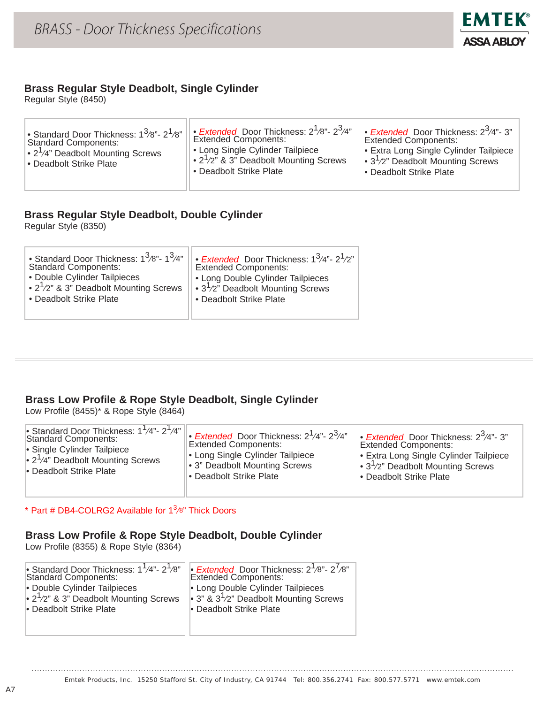

#### **Brass Regular Style Deadbolt, Single Cylinder**

Regular Style (8450)

| Standard Door Thickness: $1^3$ /8"- $2^1$ /8" li<br><b>Standard Components:</b><br>$\cdot$ 2 <sup>1</sup> /4" Deadbolt Mounting Screws<br>• Deadbolt Strike Plate | $\sqrt{6}$ Extended Door Thickness: $2^{1/8}$ "- $2^{3/4}$ "<br><b>Extended Components:</b><br>• Long Single Cylinder Tailpiece<br>$\cdot$ 2 <sup>1</sup> /2" & 3" Deadbolt Mounting Screws<br>• Deadbolt Strike Plate | • <i>Extended</i> Door Thickness: $2^3/4$ "- 3"<br><b>Extended Components:</b><br>• Extra Long Single Cylinder Tailpiece<br>• $3^7/2$ " Deadbolt Mounting Screws<br>• Deadbolt Strike Plate |
|-------------------------------------------------------------------------------------------------------------------------------------------------------------------|------------------------------------------------------------------------------------------------------------------------------------------------------------------------------------------------------------------------|---------------------------------------------------------------------------------------------------------------------------------------------------------------------------------------------|
|-------------------------------------------------------------------------------------------------------------------------------------------------------------------|------------------------------------------------------------------------------------------------------------------------------------------------------------------------------------------------------------------------|---------------------------------------------------------------------------------------------------------------------------------------------------------------------------------------------|

### **Brass Regular Style Deadbolt, Double Cylinder**

Regular Style (8350)

| • Standard Door Thickness: $1^3$ /8"- $1^3$ /4"<br><b>Standard Components:</b><br>• Double Cylinder Tailpieces<br>• $2^1/2$ " & 3" Deadbolt Mounting Screws<br>• Deadbolt Strike Plate | • <i>Extended</i> Door Thickness: $1^3/4$ "- $2^1/2$ "<br>Extended Components:<br>• Long Double Cylinder Tailpieces<br>$   \cdot 3^1 / 2^n$ Deadbolt Mounting Screws<br>• Deadbolt Strike Plate |
|----------------------------------------------------------------------------------------------------------------------------------------------------------------------------------------|-------------------------------------------------------------------------------------------------------------------------------------------------------------------------------------------------|
|                                                                                                                                                                                        |                                                                                                                                                                                                 |

## **Brass Low Profile & Rope Style Deadbolt, Single Cylinder**

Low Profile (8455)\* & Rope Style (8464)

| Standard Door Thickness: $1^{1}/4$ "- $2^{1}/4$ " | Extended Door Thickness: 2 <sup>1</sup> /4"- 2 <sup>3</sup> /4" | • Extended Door Thickness: $2^3/4$ "- 3" |
|---------------------------------------------------|-----------------------------------------------------------------|------------------------------------------|
| <b>Standard Components:</b>                       | <b>Extended Components:</b>                                     | <b>Extended Components:</b>              |
| • Single Cylinder Tailpiece                       | • Long Single Cylinder Tailpiece                                | • Extra Long Single Cylinder Tailpiece   |
| • $2^1/4$ " Deadbolt Mounting Screws              | • 3" Deadbolt Mounting Screws                                   | • $3^{1}/2$ " Deadbolt Mounting Screws   |
| • Deadbolt Strike Plate                           | • Deadbolt Strike Plate                                         | • Deadbolt Strike Plate                  |

\* Part # DB4-COLRG2 Available for  $1^3$ /8" Thick Doors

# **Brass Low Profile & Rope Style Deadbolt, Double Cylinder**

Low Profile (8355) & Rope Style (8364)

| Standard Door Thickness: $1^1/4$ "- $2^1/8$ "<br>Standard Components: | <b>Extended</b> Door Thickness: $2^1/8$ "- $2^7/8$ "<br>Extended Components: |
|-----------------------------------------------------------------------|------------------------------------------------------------------------------|
| • Double Cylinder Tailpieces                                          | • Long Double Cylinder Tailpieces                                            |
| $\cdot$ 2 <sup>1</sup> /2" & 3" Deadbolt Mounting Screws              | • 3" & $3^{1}/2$ " Deadbolt Mounting Screws                                  |
| • Deadbolt Strike Plate                                               | • Deadbolt Strike Plate                                                      |
|                                                                       |                                                                              |
|                                                                       |                                                                              |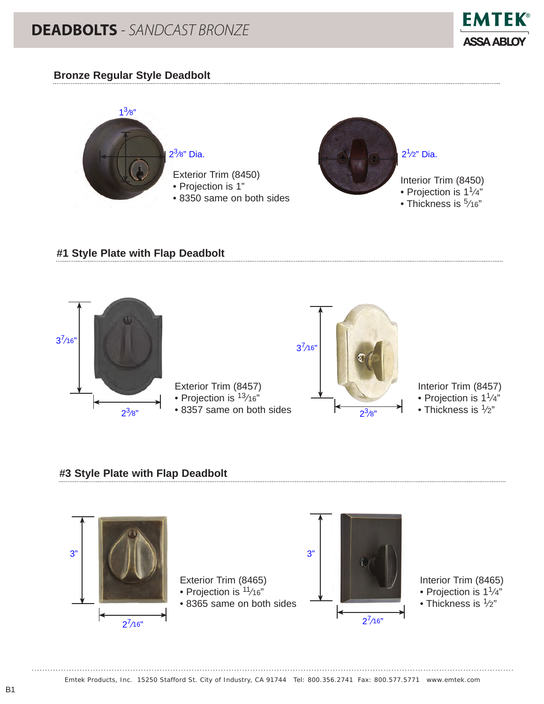

#### **Bronze Regular Style Deadbolt**



### **#1 Style Plate with Flap Deadbolt**



#### **#3 Style Plate with Flap Deadbolt**

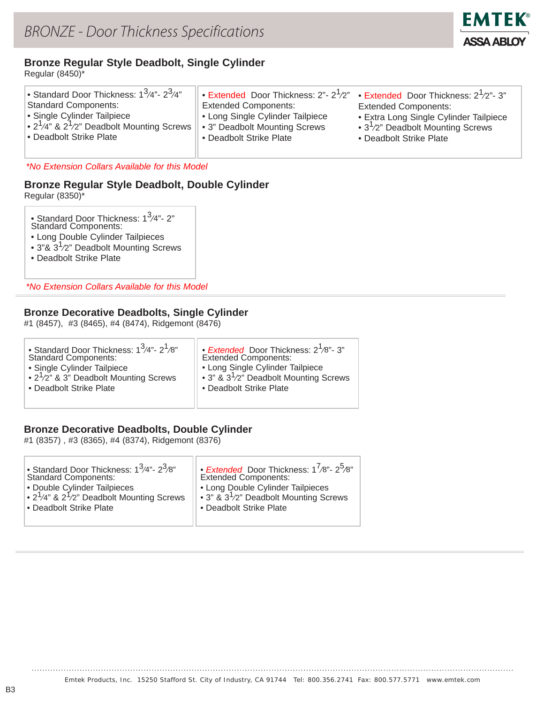

## **Bronze Regular Style Deadbolt, Single Cylinder**

Regular (8450)\*

#### *\*No Extension Collars Available for this Model*

# **Bronze Regular Style Deadbolt, Double Cylinder**

Regular (8350)\*

| • Standard Door Thickness: 1 <sup>3</sup> /4"- 2"<br><b>Standard Components:</b> |
|----------------------------------------------------------------------------------|
|                                                                                  |

- Long Double Cylinder Tailpieces
- 3"&  $3^{1}/2$ " Deadbolt Mounting Screws
- Deadbolt Strike Plate

*\*No Extension Collars Available for this Model*

#### **Bronze Decorative Deadbolts, Single Cylinder**

#1 (8457), #3 (8465), #4 (8474), Ridgemont (8476)

| • Standard Door Thickness: $1^3/4$ "- $2^1/8$ "<br><b>Standard Components:</b><br>• Single Cylinder Tailpiece<br>• $2^1/2$ " & 3" Deadbolt Mounting Screws<br>• Deadbolt Strike Plate | • <i>Extended</i> Door Thickness: 2 <sup>1</sup> /8"- 3"<br>Extended Components:<br>• Long Single Cylinder Tailpiece<br>• 3" & $3^{1}/2$ " Deadbolt Mounting Screws<br>• Deadbolt Strike Plate |
|---------------------------------------------------------------------------------------------------------------------------------------------------------------------------------------|------------------------------------------------------------------------------------------------------------------------------------------------------------------------------------------------|
|                                                                                                                                                                                       |                                                                                                                                                                                                |

#### **Bronze Decorative Deadbolts, Double Cylinder**

#1 (8357) , #3 (8365), #4 (8374), Ridgemont (8376)

| • Standard Door Thickness: $1^3/4$ "- $2^3/8$ "                          | • <i>Extended</i> Door Thickness: $1^{7}/8$ "- $2^{5}/8$ " |
|--------------------------------------------------------------------------|------------------------------------------------------------|
| <b>Standard Components:</b>                                              | <b>Extended Components:</b>                                |
| • Double Cylinder Tailpieces                                             | • Long Double Cylinder Tailpieces                          |
| $\cdot$ 2 <sup>1</sup> /4" & 2 <sup>1</sup> /2" Deadbolt Mounting Screws | • 3" & $3^{1}/2$ " Deadbolt Mounting Screws                |
| • Deadbolt Strike Plate                                                  | • Deadbolt Strike Plate                                    |